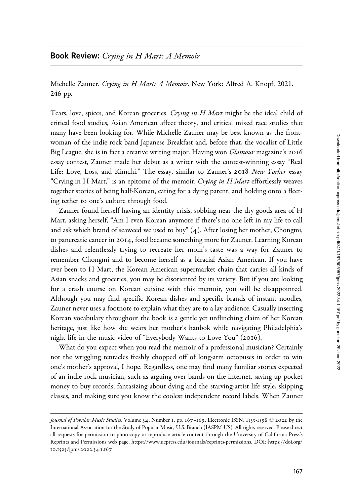## Book Review: Crying in H Mart: A Memoir

Michelle Zauner. Crying in H Mart: A Memoir. New York: Alfred A. Knopf, 2021. 246 pp.

Tears, love, spices, and Korean groceries. Crying in H Mart might be the ideal child of critical food studies, Asian American affect theory, and critical mixed race studies that many have been looking for. While Michelle Zauner may be best known as the frontwoman of the indie rock band Japanese Breakfast and, before that, the vocalist of Little Big League, she is in fact a creative writing major. Having won *Glamour* magazine's 2016 essay contest, Zauner made her debut as a writer with the contest-winning essay "Real Life: Love, Loss, and Kimchi." The essay, similar to Zauner's 2018 New Yorker essay "Crying in H Mart," is an epitome of the memoir. Crying in H Mart effortlessly weaves together stories of being half-Korean, caring for a dying parent, and holding onto a fleeting tether to one's culture through food.

Zauner found herself having an identity crisis, sobbing near the dry goods area of H Mart, asking herself, "Am I even Korean anymore if there's no one left in my life to call and ask which brand of seaweed we used to buy" (4). After losing her mother, Chongmi, to pancreatic cancer in 2014, food became something more for Zauner. Learning Korean dishes and relentlessly trying to recreate her mom's taste was a way for Zauner to remember Chongmi and to become herself as a biracial Asian American. If you have ever been to H Mart, the Korean American supermarket chain that carries all kinds of Asian snacks and groceries, you may be disoriented by its variety. But if you are looking for a crash course on Korean cuisine with this memoir, you will be disappointed. Although you may find specific Korean dishes and specific brands of instant noodles, Zauner never uses a footnote to explain what they are to a lay audience. Casually inserting Korean vocabulary throughout the book is a gentle yet unflinching claim of her Korean heritage, just like how she wears her mother's hanbok while navigating Philadelphia's night life in the music video of "Everybody Wants to Love You" (2016).

What do you expect when you read the memoir of a professional musician? Certainly not the wriggling tentacles freshly chopped off of long-arm octopuses in order to win one's mother's approval, I hope. Regardless, one may find many familiar stories expected of an indie rock musician, such as arguing over bands on the internet, saving up pocket money to buy records, fantasizing about dying and the starving-artist life style, skipping classes, and making sure you know the coolest independent record labels. When Zauner

Journal of Popular Music Studies, Volume 34, Number 1, pp. 167–169, Electronic ISSN: 1533-1598 © 2022 by the International Association for the Study of Popular Music, U.S. Branch (IASPM-US). All rights reserved. Please direct all requests for permission to photocopy or reproduce article content through the University of California Press's Reprints and Permissions web page, [https://www.ucpress.edu/journals/reprints-permissions.](https://www.ucpress.edu/journals/reprints-permissions) [DOI: https://doi.org/](https://doi.org/10.1525/jpms.2022.34.1.167) 10.1525[/jpms.](https://doi.org/10.1525/jpms.2022.34.1.167)2022.34.1.167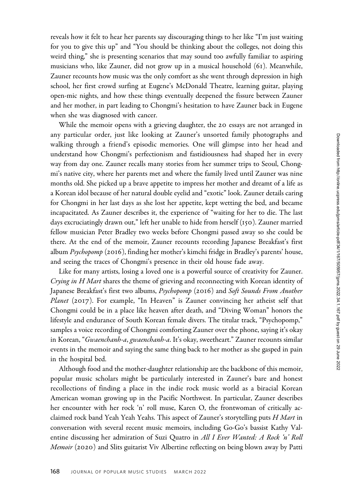reveals how it felt to hear her parents say discouraging things to her like "I'm just waiting for you to give this up" and "You should be thinking about the colleges, not doing this weird thing," she is presenting scenarios that may sound too awfully familiar to aspiring musicians who, like Zauner, did not grow up in a musical household (61). Meanwhile, Zauner recounts how music was the only comfort as she went through depression in high school, her first crowd surfing at Eugene's McDonald Theatre, learning guitar, playing open-mic nights, and how these things eventually deepened the fissure between Zauner and her mother, in part leading to Chongmi's hesitation to have Zauner back in Eugene when she was diagnosed with cancer.

While the memoir opens with a grieving daughter, the 20 essays are not arranged in any particular order, just like looking at Zauner's unsorted family photographs and walking through a friend's episodic memories. One will glimpse into her head and understand how Chongmi's perfectionism and fastidiousness had shaped her in every way from day one. Zauner recalls many stories from her summer trips to Seoul, Chongmi's native city, where her parents met and where the family lived until Zauner was nine months old. She picked up a brave appetite to impress her mother and dreamt of a life as a Korean idol because of her natural double eyelid and "exotic" look. Zauner details caring for Chongmi in her last days as she lost her appetite, kept wetting the bed, and became incapacitated. As Zauner describes it, the experience of "waiting for her to die. The last days excruciatingly drawn out," left her unable to hide from herself (150). Zauner married fellow musician Peter Bradley two weeks before Chongmi passed away so she could be there. At the end of the memoir, Zauner recounts recording Japanese Breakfast's first album Psychopomp (2016), finding her mother's kimchi fridge in Bradley's parents' house, and seeing the traces of Chongmi's presence in their old house fade away.

Like for many artists, losing a loved one is a powerful source of creativity for Zauner. Crying in H Mart shares the theme of grieving and reconnecting with Korean identity of Japanese Breakfast's first two albums, Psychopomp (2016) and Soft Sounds From Another Planet (2017). For example, "In Heaven" is Zauner convincing her atheist self that Chongmi could be in a place like heaven after death, and "Diving Woman" honors the lifestyle and endurance of South Korean female divers. The titular track, "Psychopomp," samples a voice recording of Chongmi comforting Zauner over the phone, saying it's okay in Korean, "Gwaenchanh-a, gwaenchanh-a. It's okay, sweetheart." Zauner recounts similar events in the memoir and saying the same thing back to her mother as she gasped in pain in the hospital bed.

Although food and the mother-daughter relationship are the backbone of this memoir, popular music scholars might be particularly interested in Zauner's bare and honest recollections of finding a place in the indie rock music world as a biracial Korean American woman growing up in the Pacific Northwest. In particular, Zauner describes her encounter with her rock 'n' roll muse, Karen O, the frontwoman of critically acclaimed rock band Yeah Yeah Yeahs. This aspect of Zauner's storytelling puts H Mart in conversation with several recent music memoirs, including Go-Go's bassist Kathy Valentine discussing her admiration of Suzi Quatro in All I Ever Wanted: A Rock 'n' Roll Memoir (2020) and Slits guitarist Viv Albertine reflecting on being blown away by Patti